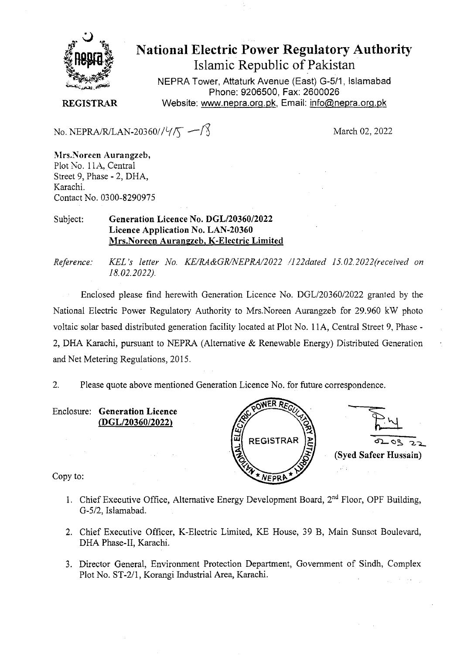

**National Electric Power Regulatory Authority Islamic Republic of Pakistan** 

NEPRA Tower, Attaturk Avenue (East) G-5/1, Islamabad Phone: 9206500, Fax: 2600026 **REGISTRAR** Website: www.nepra.org.pk, Email: info@nepra.org.pk

No. NEPRA/R/LAN-20360// $\sqrt{5}$  -  $\sqrt{5}$  March 02, 2022

**Mrs.Noreen Aurangzeb,**  Plot No. 1 IA, Central Street 9, Phase - 2, DHA, Karachi. Contact No. 03 00-8290975

Subject: **Generation Licence No.** *DGL12036012022*  **Licence Application No. LAN-20360 Mrs.Noreen Aurangzeb, K-Electric Limited** 

*Reference. KEL 's letter i\o. KE/RA&GRJNEPRA/2022 /122dated 15.02. 2022"received on 18.02.2022).* 

Enclosed please find herewith Generation Licence No. DGL/20360/2022 granted by the National Electric Power Regulatory Authority to Mrs.Noreen Aurangzeb for 29.960 kW photo voltaic solar based distributed generation facility located at Plot No. 1 1A, Central Street 9, Phase - 2, DHA Karachi, pursuant to NEPRA (Alternative & Renewable Energy) Distributed Generation and Net Metering Regulations, 2015.

2. Please quote above mentioned Generation Licence No. for future correspondence.

Enclosure: **Generation Licence**  *(DGL120360/2022)* 



Copy to:

- 1. Chief Executive Office, Alternative Energy Development Board, 2<sup>nd</sup> Floor, OPF Building, G-5/2, Islamabad.
- 2. Chief Executive Officer, K-Electric Limited, KE House, 39 B, Main Sunset Boulevard, DHA Phase-II, Karachi.
- 3. Director General, Environment Protection Department, Government of Sindh, Complex Plot No. ST-2/1, Korangi Industrial Area, Karachi.